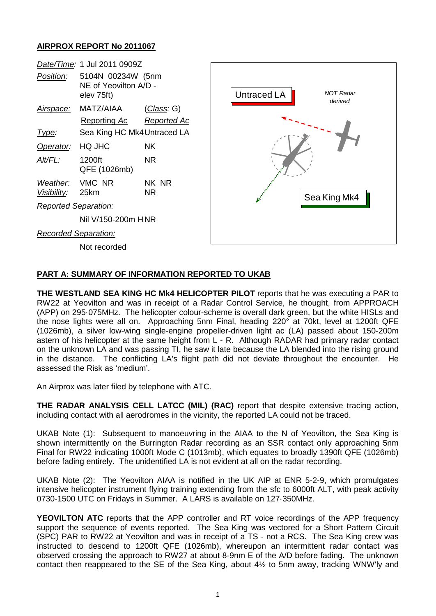## **AIRPROX REPORT No 2011067**



## **PART A: SUMMARY OF INFORMATION REPORTED TO UKAB**

**THE WESTLAND SEA KING HC Mk4 HELICOPTER PILOT** reports that he was executing a PAR to RW22 at Yeovilton and was in receipt of a Radar Control Service, he thought, from APPROACH (APP) on 295·075MHz. The helicopter colour-scheme is overall dark green, but the white HISLs and the nose lights were all on. Approaching 5nm Final, heading 220° at 70kt, level at 1200ft QFE (1026mb), a silver low-wing single-engine propeller-driven light ac (LA) passed about 150-200m astern of his helicopter at the same height from L - R. Although RADAR had primary radar contact on the unknown LA and was passing TI, he saw it late because the LA blended into the rising ground in the distance. The conflicting LA's flight path did not deviate throughout the encounter. He assessed the Risk as 'medium'.

An Airprox was later filed by telephone with ATC.

**THE RADAR ANALYSIS CELL LATCC (MIL) (RAC)** report that despite extensive tracing action, including contact with all aerodromes in the vicinity, the reported LA could not be traced.

UKAB Note (1): Subsequent to manoeuvring in the AIAA to the N of Yeovilton, the Sea King is shown intermittently on the Burrington Radar recording as an SSR contact only approaching 5nm Final for RW22 indicating 1000ft Mode C (1013mb), which equates to broadly 1390ft QFE (1026mb) before fading entirely. The unidentified LA is not evident at all on the radar recording.

UKAB Note (2): The Yeovilton AIAA is notified in the UK AIP at ENR 5-2-9, which promulgates intensive helicopter instrument flying training extending from the sfc to 6000ft ALT, with peak activity 0730-1500 UTC on Fridays in Summer. A LARS is available on 127·350MHz.

**YEOVILTON ATC** reports that the APP controller and RT voice recordings of the APP frequency support the sequence of events reported. The Sea King was vectored for a Short Pattern Circuit (SPC) PAR to RW22 at Yeovilton and was in receipt of a TS - not a RCS. The Sea King crew was instructed to descend to 1200ft QFE (1026mb), whereupon an intermittent radar contact was observed crossing the approach to RW27 at about 8-9nm E of the A/D before fading. The unknown contact then reappeared to the SE of the Sea King, about  $4\frac{1}{2}$  to 5nm away, tracking WNW'ly and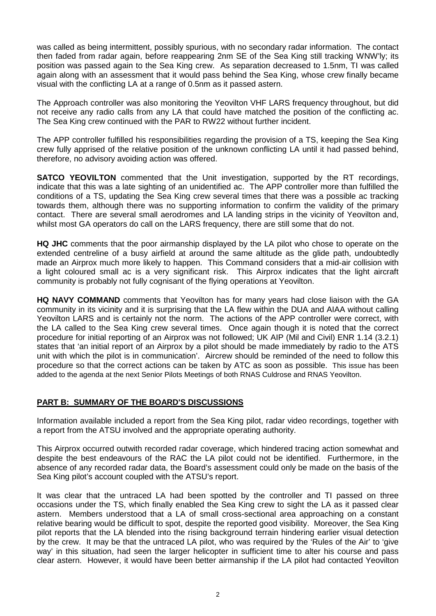was called as being intermittent, possibly spurious, with no secondary radar information. The contact then faded from radar again, before reappearing 2nm SE of the Sea King still tracking WNW'ly; its position was passed again to the Sea King crew. As separation decreased to 1.5nm, TI was called again along with an assessment that it would pass behind the Sea King, whose crew finally became visual with the conflicting LA at a range of 0.5nm as it passed astern.

The Approach controller was also monitoring the Yeovilton VHF LARS frequency throughout, but did not receive any radio calls from any LA that could have matched the position of the conflicting ac. The Sea King crew continued with the PAR to RW22 without further incident.

The APP controller fulfilled his responsibilities regarding the provision of a TS, keeping the Sea King crew fully apprised of the relative position of the unknown conflicting LA until it had passed behind, therefore, no advisory avoiding action was offered.

**SATCO YEOVILTON** commented that the Unit investigation, supported by the RT recordings, indicate that this was a late sighting of an unidentified ac. The APP controller more than fulfilled the conditions of a TS, updating the Sea King crew several times that there was a possible ac tracking towards them, although there was no supporting information to confirm the validity of the primary contact. There are several small aerodromes and LA landing strips in the vicinity of Yeovilton and, whilst most GA operators do call on the LARS frequency, there are still some that do not.

**HQ JHC** comments that the poor airmanship displayed by the LA pilot who chose to operate on the extended centreline of a busy airfield at around the same altitude as the glide path, undoubtedly made an Airprox much more likely to happen. This Command considers that a mid-air collision with a light coloured small ac is a very significant risk. This Airprox indicates that the light aircraft community is probably not fully cognisant of the flying operations at Yeovilton.

**HQ NAVY COMMAND** comments that Yeovilton has for many years had close liaison with the GA community in its vicinity and it is surprising that the LA flew within the DUA and AIAA without calling Yeovilton LARS and is certainly not the norm. The actions of the APP controller were correct, with the LA called to the Sea King crew several times. Once again though it is noted that the correct procedure for initial reporting of an Airprox was not followed; UK AIP (Mil and Civil) ENR 1.14 (3.2.1) states that 'an initial report of an Airprox by a pilot should be made immediately by radio to the ATS unit with which the pilot is in communication'. Aircrew should be reminded of the need to follow this procedure so that the correct actions can be taken by ATC as soon as possible. This issue has been added to the agenda at the next Senior Pilots Meetings of both RNAS Culdrose and RNAS Yeovilton.

## **PART B: SUMMARY OF THE BOARD'S DISCUSSIONS**

Information available included a report from the Sea King pilot, radar video recordings, together with a report from the ATSU involved and the appropriate operating authority.

This Airprox occurred outwith recorded radar coverage, which hindered tracing action somewhat and despite the best endeavours of the RAC the LA pilot could not be identified. Furthermore, in the absence of any recorded radar data, the Board's assessment could only be made on the basis of the Sea King pilot's account coupled with the ATSU's report.

It was clear that the untraced LA had been spotted by the controller and TI passed on three occasions under the TS, which finally enabled the Sea King crew to sight the LA as it passed clear astern. Members understood that a LA of small cross-sectional area approaching on a constant relative bearing would be difficult to spot, despite the reported good visibility. Moreover, the Sea King pilot reports that the LA blended into the rising background terrain hindering earlier visual detection by the crew. It may be that the untraced LA pilot, who was required by the 'Rules of the Air' to 'give way' in this situation, had seen the larger helicopter in sufficient time to alter his course and pass clear astern. However, it would have been better airmanship if the LA pilot had contacted Yeovilton